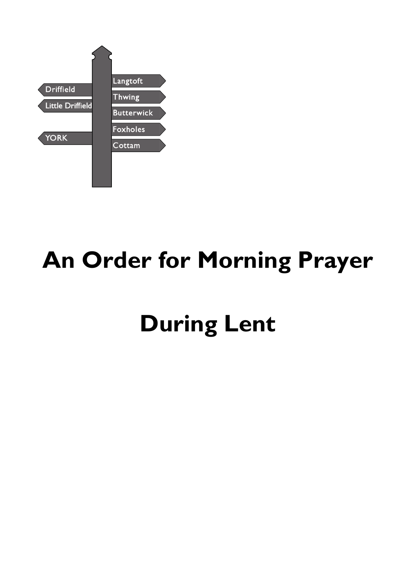

# **An Order for Morning Prayer**

# **During Lent**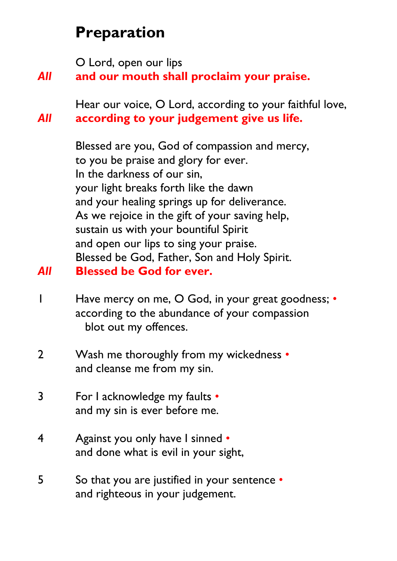# **Preparation**

O Lord, open our lips

# *All* **and our mouth shall proclaim your praise.**

Hear our voice, O Lord, according to your faithful love, *All* **according to your judgement give us life.**

> Blessed are you, God of compassion and mercy, to you be praise and glory for ever. In the darkness of our sin, your light breaks forth like the dawn and your healing springs up for deliverance. As we rejoice in the gift of your saving help, sustain us with your bountiful Spirit and open our lips to sing your praise. Blessed be God, Father, Son and Holy Spirit.

### *All* **Blessed be God for ever.**

- 1 Have mercy on me, O God, in your great goodness; according to the abundance of your compassion blot out my offences.
- 2 Wash me thoroughly from my wickedness and cleanse me from my sin.
- 3 For I acknowledge my faults and my sin is ever before me.
- 4 Against you only have I sinned and done what is evil in your sight,
- 5 So that you are justified in your sentence and righteous in your judgement.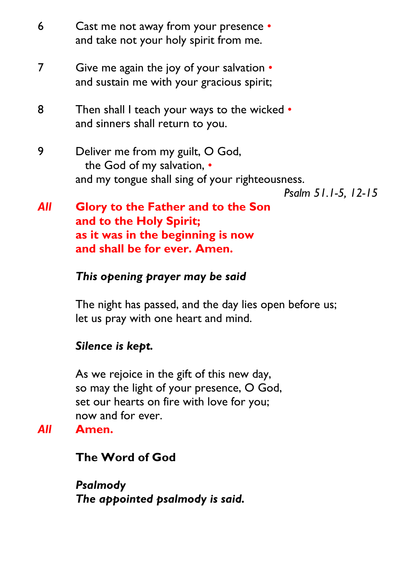| 6   | Cast me not away from your presence •<br>and take not your holy spirit from me.                                                          |
|-----|------------------------------------------------------------------------------------------------------------------------------------------|
| 7   | Give me again the joy of your salvation •<br>and sustain me with your gracious spirit;                                                   |
| 8   | Then shall I teach your ways to the wicked •<br>and sinners shall return to you.                                                         |
| 9   | Deliver me from my guilt, O God,<br>the God of my salvation, •<br>and my tongue shall sing of your righteousness.<br>Psalm 51.1-5, 12-15 |
| All | <b>Glory to the Father and to the Son</b><br>and to the Holy Spirit;                                                                     |

**as it was in the beginning is now and shall be for ever. Amen.**

# *This opening prayer may be said*

The night has passed, and the day lies open before us; let us pray with one heart and mind.

# *Silence is kept.*

As we rejoice in the gift of this new day, so may the light of your presence, O God, set our hearts on fire with love for you; now and for ever.

#### *All* **Amen.**

#### **The Word of God**

*Psalmody The appointed psalmody is said.*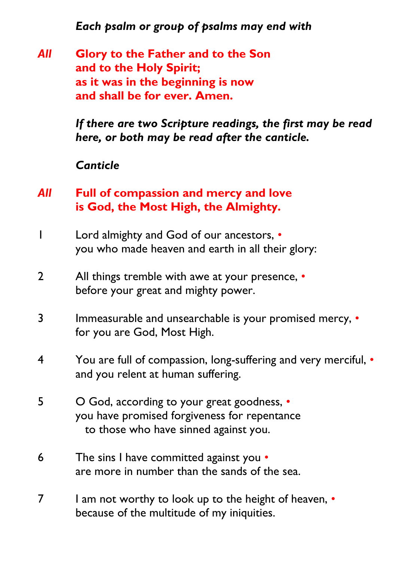*Each psalm or group of psalms may end with*

*All* **Glory to the Father and to the Son and to the Holy Spirit; as it was in the beginning is now and shall be for ever. Amen.**

> *If there are two Scripture readings, the first may be read here, or both may be read after the canticle.*

*Canticle*

# *All* **Full of compassion and mercy and love is God, the Most High, the Almighty.**

- 1 Lord almighty and God of our ancestors, you who made heaven and earth in all their glory:
- 2 All things tremble with awe at your presence, before your great and mighty power.
- 3 Immeasurable and unsearchable is your promised mercy, for you are God, Most High.
- 4 You are full of compassion, long-suffering and very merciful, and you relent at human suffering.
- 5 O God, according to your great goodness, you have promised forgiveness for repentance to those who have sinned against you.
- 6 The sins I have committed against you are more in number than the sands of the sea.
- 7 I am not worthy to look up to the height of heaven, because of the multitude of my iniquities.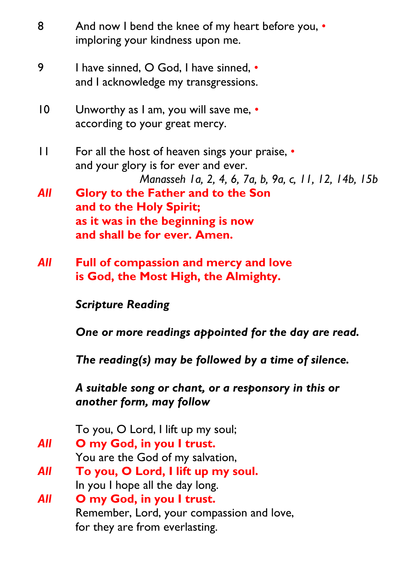| 8            | And now I bend the knee of my heart before you, •<br>imploring your kindness upon me.                                                           |  |
|--------------|-------------------------------------------------------------------------------------------------------------------------------------------------|--|
| 9            | I have sinned, O God, I have sinned, •<br>and I acknowledge my transgressions.                                                                  |  |
| $ 0\rangle$  | Unworthy as I am, you will save me, $\bullet$<br>according to your great mercy.                                                                 |  |
| $\mathbf{I}$ | For all the host of heaven sings your praise, •<br>and your glory is for ever and ever.<br>Manasseh 1a, 2, 4, 6, 7a, b, 9a, c, 11, 12, 14b, 15b |  |
| <b>All</b>   | <b>Glory to the Father and to the Son</b><br>and to the Holy Spirit;<br>as it was in the beginning is now<br>and shall be for ever. Amen.       |  |
| <b>All</b>   | <b>Full of compassion and mercy and love</b><br>is God, the Most High, the Almighty.                                                            |  |
|              | <b>Scripture Reading</b>                                                                                                                        |  |
|              | One or more readings appointed for the day are read.                                                                                            |  |
|              | The reading(s) may be followed by a time of silence.                                                                                            |  |
|              | A suitable song or chant, or a responsory in this or<br>another form, may follow                                                                |  |
|              | To you, O Lord, I lift up my soul;                                                                                                              |  |
| <b>All</b>   | O my God, in you I trust.<br>You are the God of my salvation,                                                                                   |  |
| All          | To you, O Lord, I lift up my soul.<br>In you I hope all the day long.                                                                           |  |
| All          | O my God, in you I trust.<br>Remember, Lord, your compassion and love,<br>for they are from everlasting.                                        |  |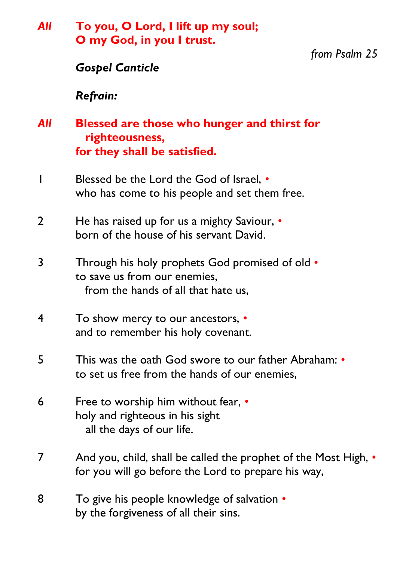| All            | To you, O Lord, I lift up my soul;<br>O my God, in you I trust.                                                               |               |  |
|----------------|-------------------------------------------------------------------------------------------------------------------------------|---------------|--|
|                | <b>Gospel Canticle</b>                                                                                                        | from Psalm 25 |  |
|                | <b>Refrain:</b>                                                                                                               |               |  |
| All            | <b>Blessed are those who hunger and thirst for</b><br>righteousness,<br>for they shall be satisfied.                          |               |  |
|                | Blessed be the Lord the God of Israel, •<br>who has come to his people and set them free.                                     |               |  |
| $\overline{2}$ | He has raised up for us a mighty Saviour, •<br>born of the house of his servant David.                                        |               |  |
| 3              | <b>Through his holy prophets God promised of old •</b><br>to save us from our enemies,<br>from the hands of all that hate us, |               |  |
| 4              | To show mercy to our ancestors, •<br>and to remember his holy covenant.                                                       |               |  |
| 5              | This was the oath God swore to our father Abraham: •<br>to set us free from the hands of our enemies,                         |               |  |
| 6              | Free to worship him without fear, •<br>holy and righteous in his sight<br>all the days of our life.                           |               |  |
| 7              | And you, child, shall be called the prophet of the Most High, •<br>for you will go before the Lord to prepare his way,        |               |  |
| 8              | To give his people knowledge of salvation •<br>by the forgiveness of all their sins.                                          |               |  |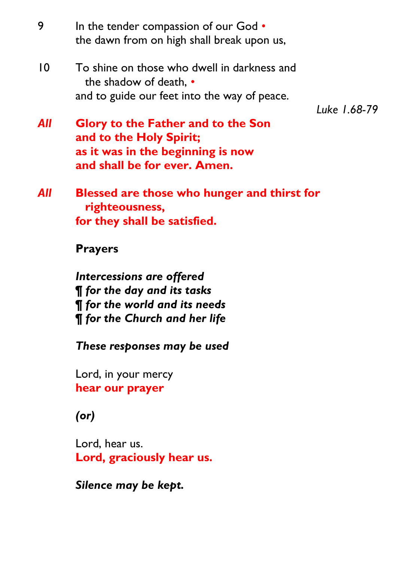- 9 In the tender compassion of our God *•* the dawn from on high shall break upon us,
- 10 To shine on those who dwell in darkness and the shadow of death, *•* and to guide our feet into the way of peace.

*Luke 1.68-79*

- *All* **Glory to the Father and to the Son and to the Holy Spirit; as it was in the beginning is now and shall be for ever. Amen.**
- *All* **Blessed are those who hunger and thirst for righteousness, for they shall be satisfied.**

#### **Prayers**

*Intercessions are offered* **¶** *for the day and its tasks* **¶** *for the world and its needs* **¶** *for the Church and her life*

*These responses may be used* 

Lord, in your mercy **hear our prayer**

# *(or)*

Lord, hear us. **Lord, graciously hear us.**

*Silence may be kept.*